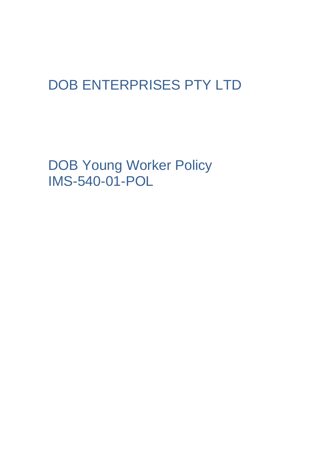# DOB ENTERPRISES PTY LTD

DOB Young Worker Policy IMS-540-01-POL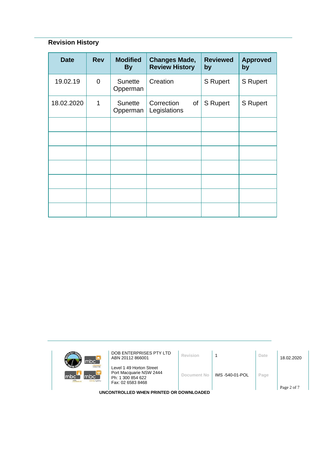## **Revision History**

| <b>Date</b> | <b>Rev</b>  | <b>Modified</b><br><b>By</b> | <b>Changes Made,</b><br><b>Review History</b> | <b>Reviewed</b><br>by | <b>Approved</b><br>by |
|-------------|-------------|------------------------------|-----------------------------------------------|-----------------------|-----------------------|
| 19.02.19    | $\mathbf 0$ | <b>Sunette</b><br>Opperman   | Creation                                      | <b>S</b> Rupert       | <b>S</b> Rupert       |
| 18.02.2020  | 1           | <b>Sunette</b><br>Opperman   | Correction<br>of<br>Legislations              | <b>S</b> Rupert       | <b>S</b> Rupert       |
|             |             |                              |                                               |                       |                       |
|             |             |                              |                                               |                       |                       |
|             |             |                              |                                               |                       |                       |
|             |             |                              |                                               |                       |                       |
|             |             |                              |                                               |                       |                       |
|             |             |                              |                                               |                       |                       |
|             |             |                              |                                               |                       |                       |

| 60T 7,<br>mbc <sup>-</sup>                                | DOB ENTERPRISES PTY LTD<br>ABN 20112 866001                                                   | Revision    |                | Date | 18.02.2020 |  |
|-----------------------------------------------------------|-----------------------------------------------------------------------------------------------|-------------|----------------|------|------------|--|
| <b>Jobour hire</b><br>mbc<br>mbc<br>mtc<br>sursing agency | Level 1 49 Horton Street<br>Port Macquarie NSW 2444<br>Ph: 1 300 854 622<br>Fax: 02 6583 8468 | Document No | IMS-540-01-POL | Page |            |  |
| Page 2 of 7<br>UNCONTROLLED WHEN PRINTED OR DOWNLOADED    |                                                                                               |             |                |      |            |  |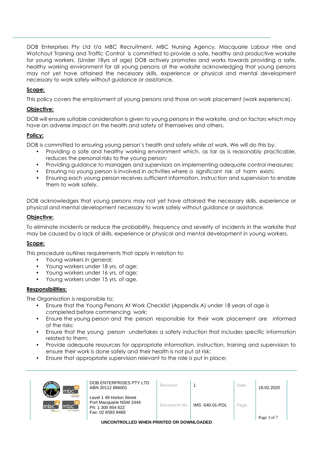DOB Enterprises Pty Ltd t/a MBC Recruitment, MBC Nursing Agency, Macquarie Labour Hire and Watchout Training and Traffic Control is committed to provide a safe, healthy and productive worksite for young workers. (Under 18yrs of age) DOB actively promotes and works towards providing a safe, healthy working environment for all young persons at the worksite acknowledging that young persons may not yet have attained the necessary skills, experience or physical and mental development necessary to work safely without guidance or assistance.

#### **Scope:**

This policy covers the employment of young persons and those on work placement (work experience).

#### **Objective:**

DOB will ensure suitable consideration is given to young persons in the worksite, and on factors which may have an adverse impact on the health and safety of themselves and others.

#### **Policy:**

DOB is committed to ensuring young person's health and safety while at work. We will do this by:

- Providing a safe and healthy working environment which, as far as is reasonably practicable, reduces the personal risks to the young person;
- Providing guidance to managers and supervisors on implementing adequate control measures;
- Ensuring no young person is involved in activities where a significant risk of harm exists;
- Ensuring each young person receives sufficient information, instruction and supervision to enable them to work safely.

DOB acknowledges that young persons may not yet have attained the necessary skills, experience or physical and mental development necessary to work safely without guidance or assistance.

#### **Objective:**

To eliminate incidents or reduce the probability, frequency and severity of incidents in the worksite that may be caused by a lack of skills, experience or physical and mental development in young workers.

#### **Scope:**

This procedure outlines requirements that apply in relation to:

- Young workers in general;
- Young workers under 18 yrs. of age;
- Young workers under 16 yrs. of age;
- Young workers under 15 yrs. of age.

#### **Responsibilities:**

The Organisation is responsible to:

- Ensure that the Young Persons At Work Checklist (Appendix A) under 18 years of age is completed before commencing work;
- Ensure the young person and the person responsible for their work placement are informed of the risks;
- Ensure that the young person undertakes a safety induction that includes specific information related to them;
- Provide adequate resources for appropriate information, instruction, training and supervision to ensure their work is done safely and their health is not put at risk;
- Ensure that appropriate supervision relevant to the role is put in place;

| mbc <sup>'</sup>                                                        | DOB ENTERPRISES PTY LTD<br>ABN 20112 866001                                                   | Revision    |                 | Date | 18.02.2020  |  |
|-------------------------------------------------------------------------|-----------------------------------------------------------------------------------------------|-------------|-----------------|------|-------------|--|
| <b>Inhour hire</b><br>mbc<br>Imbc`<br>m <sub>tc</sub><br>sursing agency | Level 1 49 Horton Street<br>Port Macquarie NSW 2444<br>Ph: 1 300 854 622<br>Fax: 02 6583 8468 | Document No | IMS -540-01-POL | Page | Page 3 of 7 |  |

**UNCONTROLLED WHEN PRINTED OR DOWNLOADED**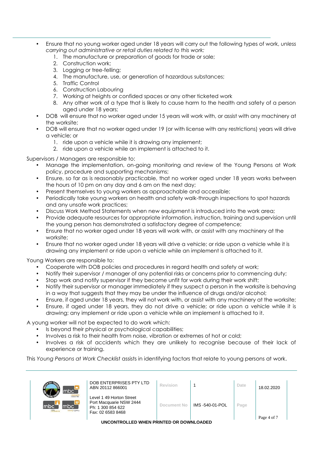- Ensure that no young worker aged under 18 years will carry out the following types of work, *unless carrying out administrative or retail duties related to this work:*
	- 1. The manufacture or preparation of goods for trade or sale;
	- 2. Construction work;
	- 3. Logging or tree-felling;
	- 4. The manufacture, use, or generation of hazardous substances;
	- 5. Traffic Control
	- 6. Construction Labouring
	- 7. Working at heights or confided spaces or any other ticketed work
	- 8. Any other work of a type that is likely to cause harm to the health and safety of a person aged under 18 years;
- DOB will ensure that no worker aged under 15 years will work with, or assist with any machinery at the worksite;
- DOB will ensure that no worker aged under 19 (or with license with any restrictions) years will drive a vehicle; or
	- 1. ride upon a vehicle while it is drawing any implement;
	- 2. ride upon a vehicle while an implement is attached to it.

Supervisors / Managers are responsible to:

- Manage the implementation, on-going monitoring and review of the Young Persons at Work policy, procedure and supporting mechanisms;
- Ensure, so far as is reasonably practicable, that no worker aged under 18 years works between the hours of 10 pm on any day and 6 am on the next day;
- Present themselves to young workers as approachable and accessible;
- Periodically take young workers on health and safety walk-through inspections to spot hazards and any unsafe work practices;
- Discuss Work Method Statements when new equipment is introduced into the work area;
- Provide adequate resources for appropriate information, instruction, training and supervision until the young person has demonstrated a satisfactory degree of competence;
- Ensure that no worker aged under 18 years will work with, or assist with any machinery at the worksite;
- Ensure that no worker aged under 18 years will drive a vehicle; or ride upon a vehicle while it is drawing any implement or ride upon a vehicle while an implement is attached to it.

Young Workers are responsible to:

- Cooperate with DOB policies and procedures in regard health and safety at work;
- Notify their supervisor / manager of any potential risks or concerns prior to commencing duty;
- Stop work and notify supervisor if they become unfit for work during their work shift;
- Notify their supervisor or manager immediately if they suspect a person in the worksite is behaving in a way that suggests that they may be under the influence of drugs and/or alcohol;
- Ensure, if aged under 18 years, they will not work with, or assist with any machinery at the worksite;
- Ensure, if aged under 18 years, they do not drive a vehicle; or ride upon a vehicle while it is drawing; any implement or ride upon a vehicle while an implement is attached to it.

A young worker will not be expected to do work which:

- Is beyond their physical or psychological capabilities;
- Involves a risk to their health from noise, vibration or extremes of hot or cold;
- Involves a risk of accidents which they are unlikely to recognise because of their lack of experience or training.

This *Young Persons at Work Checklist* assists in identifying factors that relate to young persons at work.

| mbc`                                                                     | DOB ENTERPRISES PTY LTD<br>ABN 20112 866001                                                   | Revision    |                | Date | 18.02.2020  |
|--------------------------------------------------------------------------|-----------------------------------------------------------------------------------------------|-------------|----------------|------|-------------|
| <b>Inhour hire</b><br>lmbc`<br>mbc`<br>m <sub>tc</sub><br>sursing agency | Level 1 49 Horton Street<br>Port Macquarie NSW 2444<br>Ph: 1 300 854 622<br>Fax: 02 6583 8468 | Document No | IMS-540-01-POL | Page | Page 4 of 7 |

**UNCONTROLLED WHEN PRINTED OR DOWNLOADED**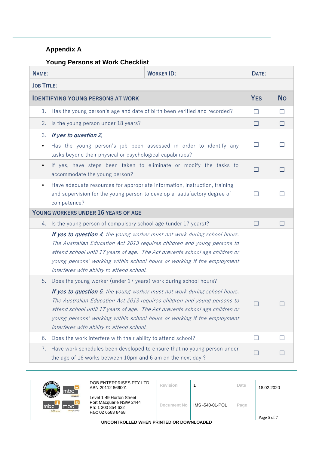## **Appendix A**

### **Young Persons at Work Checklist**

| <b>NAME:</b>      |                                                                                                                                                                       | <b>WORKER ID:</b>                                                                                                                                                                                                                                                                                                | DATE:        |              |
|-------------------|-----------------------------------------------------------------------------------------------------------------------------------------------------------------------|------------------------------------------------------------------------------------------------------------------------------------------------------------------------------------------------------------------------------------------------------------------------------------------------------------------|--------------|--------------|
| <b>JOB TITLE:</b> |                                                                                                                                                                       |                                                                                                                                                                                                                                                                                                                  |              |              |
|                   | <b>IDENTIFYING YOUNG PERSONS AT WORK</b>                                                                                                                              |                                                                                                                                                                                                                                                                                                                  | <b>YES</b>   | <b>No</b>    |
| 1.                | Has the young person's age and date of birth been verified and recorded?                                                                                              |                                                                                                                                                                                                                                                                                                                  | П            | П            |
| 2.                | Is the young person under 18 years?                                                                                                                                   |                                                                                                                                                                                                                                                                                                                  | П            | П            |
| 3.                | If yes to question 2,                                                                                                                                                 |                                                                                                                                                                                                                                                                                                                  |              |              |
|                   | Has the young person's job been assessed in order to identify any<br>tasks beyond their physical or psychological capabilities?                                       | $\mathsf{L}$                                                                                                                                                                                                                                                                                                     |              |              |
| $\bullet$         | If yes, have steps been taken to eliminate or modify the tasks to<br>accommodate the young person?                                                                    |                                                                                                                                                                                                                                                                                                                  |              |              |
| $\bullet$         | Have adequate resources for appropriate information, instruction, training<br>and supervision for the young person to develop a satisfactory degree of<br>competence? |                                                                                                                                                                                                                                                                                                                  |              |              |
|                   | YOUNG WORKERS UNDER 16 YEARS OF AGE                                                                                                                                   |                                                                                                                                                                                                                                                                                                                  |              |              |
| 4.                | Is the young person of compulsory school age (under 17 years)?                                                                                                        |                                                                                                                                                                                                                                                                                                                  | П            |              |
|                   | interferes with ability to attend school.                                                                                                                             | If yes to question 4, the young worker must not work during school hours.<br>The Australian Education Act 2013 requires children and young persons to<br>attend school until 17 years of age. The Act prevents school age children or<br>young persons' working within school hours or working if the employment |              |              |
| 5.                | Does the young worker (under 17 years) work during school hours?                                                                                                      |                                                                                                                                                                                                                                                                                                                  |              |              |
|                   | interferes with ability to attend school.                                                                                                                             | If yes to question 5, the young worker must not work during school hours.<br>The Australian Education Act 2013 requires children and young persons to<br>attend school until 17 years of age. The Act prevents school age children or<br>young persons' working within school hours or working if the employment | $\mathsf{L}$ |              |
| 6.                | Does the work interfere with their ability to attend school?                                                                                                          |                                                                                                                                                                                                                                                                                                                  | П            |              |
| 7.                | the age of 16 works between 10pm and 6 am on the next day ?                                                                                                           | Have work schedules been developed to ensure that no young person under                                                                                                                                                                                                                                          | $\Box$       | $\mathsf{L}$ |



| $\mathsf{C}^-$                                 | DOB ENTERPRISES PTY LTD<br>ABN 20112 866001                                                   | Revision    |                 | Date | 18.02.2020  |
|------------------------------------------------|-----------------------------------------------------------------------------------------------|-------------|-----------------|------|-------------|
| macquarte<br>$\mathsf{C}^{\top}$<br>ing agency | Level 1 49 Horton Street<br>Port Macquarie NSW 2444<br>Ph: 1 300 854 622<br>Fax: 02 6583 8468 | Document No | IMS -540-01-POL | Page | Page 5 of 7 |

**UNCONTROLLED WHEN PRINTED OR DOWNLOADED**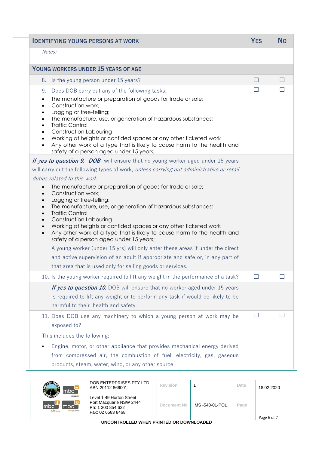| <b>IDENTIFYING YOUNG PERSONS AT WORK</b>                                                                                                                                                                                                                                                                                                                                                                                                                                                                                                  | <b>YES</b> | <b>No</b> |
|-------------------------------------------------------------------------------------------------------------------------------------------------------------------------------------------------------------------------------------------------------------------------------------------------------------------------------------------------------------------------------------------------------------------------------------------------------------------------------------------------------------------------------------------|------------|-----------|
| Notes:                                                                                                                                                                                                                                                                                                                                                                                                                                                                                                                                    |            |           |
| YOUNG WORKERS UNDER 15 YEARS OF AGE                                                                                                                                                                                                                                                                                                                                                                                                                                                                                                       |            |           |
| Is the young person under 15 years?<br>8.                                                                                                                                                                                                                                                                                                                                                                                                                                                                                                 | $\Box$     | $\Box$    |
| Does DOB carry out any of the following tasks;<br>9.                                                                                                                                                                                                                                                                                                                                                                                                                                                                                      | П          |           |
| The manufacture or preparation of goods for trade or sale;<br>$\bullet$<br>Construction work;<br>$\bullet$<br>Logging or tree-felling;<br>$\bullet$<br>The manufacture, use, or generation of hazardous substances;<br>$\bullet$<br><b>Traffic Control</b><br>$\bullet$<br><b>Construction Labouring</b><br>$\bullet$<br>Working at heights or confided spaces or any other ticketed work<br>$\bullet$<br>Any other work of a type that is likely to cause harm to the health and<br>$\bullet$<br>safety of a person aged under 15 years; |            |           |
| If yes to question 9. DOB will ensure that no young worker aged under 15 years                                                                                                                                                                                                                                                                                                                                                                                                                                                            |            |           |
| will carry out the following types of work, unless carrying out administrative or retail                                                                                                                                                                                                                                                                                                                                                                                                                                                  |            |           |
| duties related to this work                                                                                                                                                                                                                                                                                                                                                                                                                                                                                                               |            |           |
| The manufacture or preparation of goods for trade or sale;<br>Construction work;<br>Logging or tree-felling;<br>$\bullet$<br>The manufacture, use, or generation of hazardous substances;<br>$\bullet$<br><b>Traffic Control</b><br>$\bullet$<br><b>Construction Labouring</b><br>$\bullet$<br>Working at heights or confided spaces or any other ticketed work<br>$\bullet$<br>Any other work of a type that is likely to cause harm to the health and<br>$\bullet$<br>safety of a person aged under 15 years;                           |            |           |
| A young worker (under 15 yrs) will only enter these areas if under the direct                                                                                                                                                                                                                                                                                                                                                                                                                                                             |            |           |
| and active supervision of an adult if appropriate and safe or, in any part of<br>that area that is used only for selling goods or services.                                                                                                                                                                                                                                                                                                                                                                                               |            |           |
| 10. Is the young worker required to lift any weight in the performance of a task?                                                                                                                                                                                                                                                                                                                                                                                                                                                         | $\Box$     |           |
| If yes to question 10. DOB will ensure that no worker aged under 15 years                                                                                                                                                                                                                                                                                                                                                                                                                                                                 |            |           |
| is required to lift any weight or to perform any task if would be likely to be<br>harmful to their health and safety.                                                                                                                                                                                                                                                                                                                                                                                                                     |            |           |
| 11. Does DOB use any machinery to which a young person at work may be<br>exposed to?                                                                                                                                                                                                                                                                                                                                                                                                                                                      | H          |           |
| This includes the following:                                                                                                                                                                                                                                                                                                                                                                                                                                                                                                              |            |           |
| Engine, motor, or other appliance that provides mechanical energy derived<br>from compressed air, the combustion of fuel, electricity, gas, gaseous<br>products, steam, water, wind, or any other source                                                                                                                                                                                                                                                                                                                                  |            |           |



|                    | DOB ENTERPRISES PTY LTD<br>ABN 20112 866001                                                   | Revision    |                 | Date | 18.02.2020  |
|--------------------|-----------------------------------------------------------------------------------------------|-------------|-----------------|------|-------------|
| our hire<br>agency | Level 1 49 Horton Street<br>Port Macquarie NSW 2444<br>Ph: 1 300 854 622<br>Fax: 02 6583 8468 | Document No | IMS -540-01-POL | Page | Page 6 of 7 |

**UNCONTROLLED WHEN PRINTED OR DOWNLOADED**